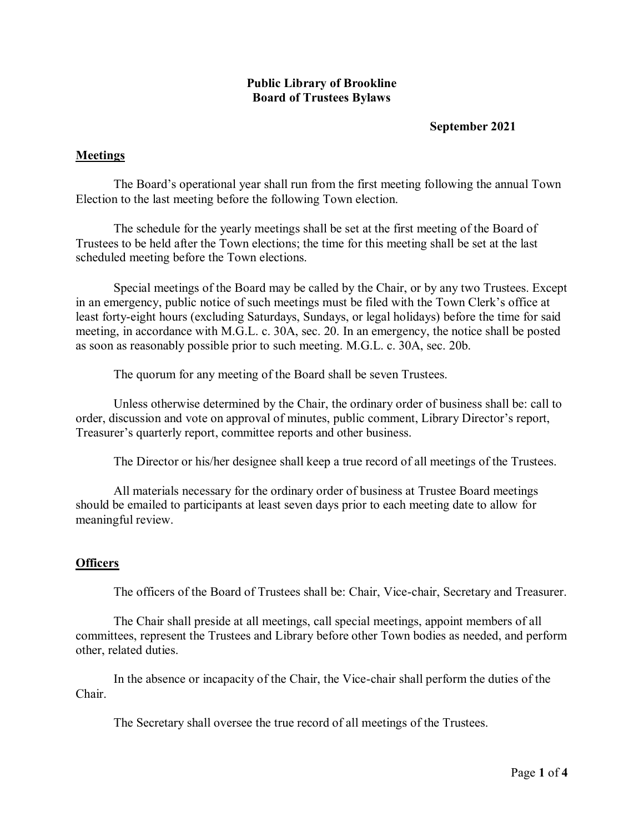# **Public Library of Brookline Board of Trustees Bylaws**

# **September 2021**

# **Meetings**

The Board's operational year shall run from the first meeting following the annual Town Election to the last meeting before the following Town election.

The schedule for the yearly meetings shall be set at the first meeting of the Board of Trustees to be held after the Town elections; the time for this meeting shall be set at the last scheduled meeting before the Town elections.

Special meetings of the Board may be called by the Chair, or by any two Trustees. Except in an emergency, public notice of such meetings must be filed with the Town Clerk's office at least forty-eight hours (excluding Saturdays, Sundays, or legal holidays) before the time for said meeting, in accordance with M.G.L. c. 30A, sec. 20. In an emergency, the notice shall be posted as soon as reasonably possible prior to such meeting. M.G.L. c. 30A, sec. 20b.

The quorum for any meeting of the Board shall be seven Trustees.

Unless otherwise determined by the Chair, the ordinary order of business shall be: call to order, discussion and vote on approval of minutes, public comment, Library Director's report, Treasurer's quarterly report, committee reports and other business.

The Director or his/her designee shall keep a true record of all meetings of the Trustees.

All materials necessary for the ordinary order of business at Trustee Board meetings should be emailed to participants at least seven days prior to each meeting date to allow for meaningful review.

### **Officers**

The officers of the Board of Trustees shall be: Chair, Vice-chair, Secretary and Treasurer.

The Chair shall preside at all meetings, call special meetings, appoint members of all committees, represent the Trustees and Library before other Town bodies as needed, and perform other, related duties.

In the absence or incapacity of the Chair, the Vice-chair shall perform the duties of the Chair.

The Secretary shall oversee the true record of all meetings of the Trustees.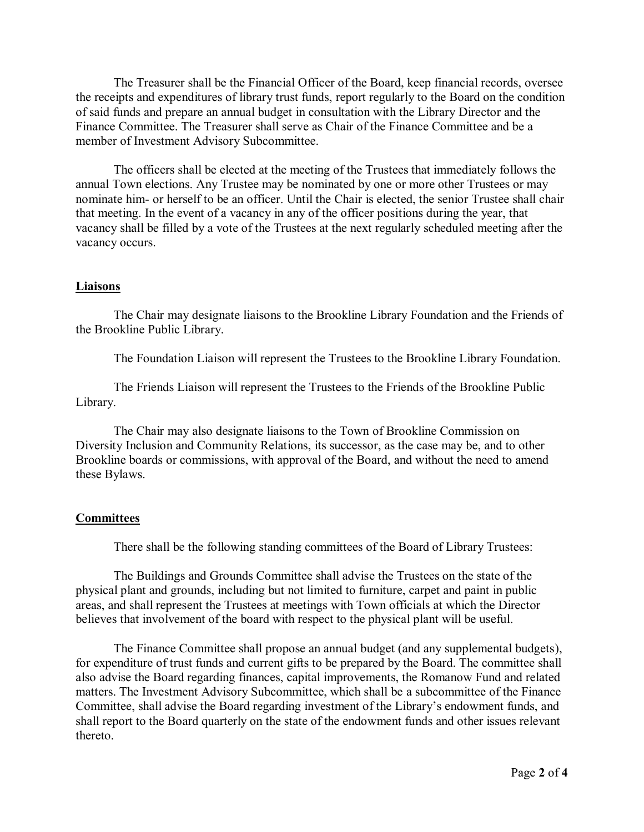The Treasurer shall be the Financial Officer of the Board, keep financial records, oversee the receipts and expenditures of library trust funds, report regularly to the Board on the condition of said funds and prepare an annual budget in consultation with the Library Director and the Finance Committee. The Treasurer shall serve as Chair of the Finance Committee and be a member of Investment Advisory Subcommittee.

The officers shall be elected at the meeting of the Trustees that immediately follows the annual Town elections. Any Trustee may be nominated by one or more other Trustees or may nominate him- or herself to be an officer. Until the Chair is elected, the senior Trustee shall chair that meeting. In the event of a vacancy in any of the officer positions during the year, that vacancy shall be filled by a vote of the Trustees at the next regularly scheduled meeting after the vacancy occurs.

#### **Liaisons**

The Chair may designate liaisons to the Brookline Library Foundation and the Friends of the Brookline Public Library.

The Foundation Liaison will represent the Trustees to the Brookline Library Foundation.

The Friends Liaison will represent the Trustees to the Friends of the Brookline Public Library.

The Chair may also designate liaisons to the Town of Brookline Commission on Diversity Inclusion and Community Relations, its successor, as the case may be, and to other Brookline boards or commissions, with approval of the Board, and without the need to amend these Bylaws.

### **Committees**

There shall be the following standing committees of the Board of Library Trustees:

The Buildings and Grounds Committee shall advise the Trustees on the state of the physical plant and grounds, including but not limited to furniture, carpet and paint in public areas, and shall represent the Trustees at meetings with Town officials at which the Director believes that involvement of the board with respect to the physical plant will be useful.

The Finance Committee shall propose an annual budget (and any supplemental budgets), for expenditure of trust funds and current gifts to be prepared by the Board. The committee shall also advise the Board regarding finances, capital improvements, the Romanow Fund and related matters. The Investment Advisory Subcommittee, which shall be a subcommittee of the Finance Committee, shall advise the Board regarding investment of the Library's endowment funds, and shall report to the Board quarterly on the state of the endowment funds and other issues relevant thereto.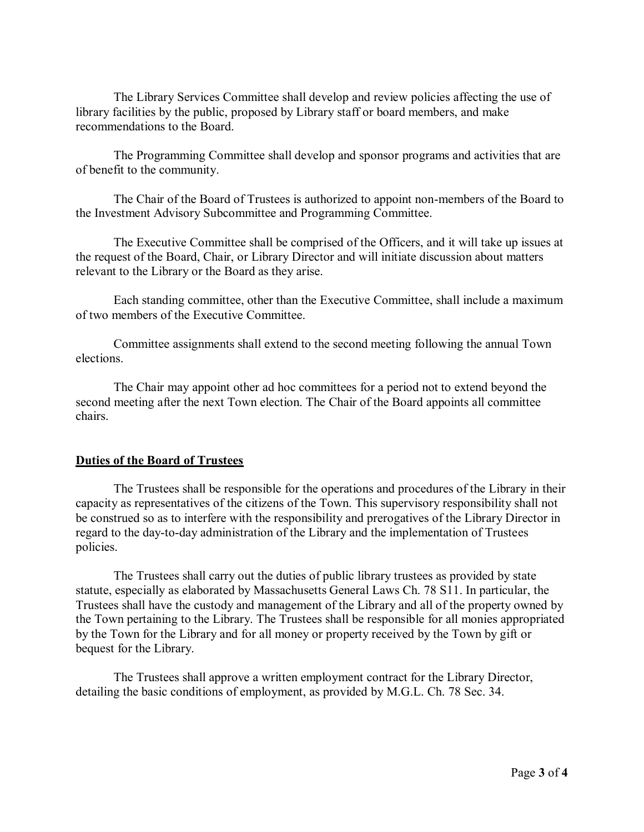The Library Services Committee shall develop and review policies affecting the use of library facilities by the public, proposed by Library staff or board members, and make recommendations to the Board.

The Programming Committee shall develop and sponsor programs and activities that are of benefit to the community.

The Chair of the Board of Trustees is authorized to appoint non-members of the Board to the Investment Advisory Subcommittee and Programming Committee.

The Executive Committee shall be comprised of the Officers, and it will take up issues at the request of the Board, Chair, or Library Director and will initiate discussion about matters relevant to the Library or the Board as they arise.

Each standing committee, other than the Executive Committee, shall include a maximum of two members of the Executive Committee.

Committee assignments shall extend to the second meeting following the annual Town elections.

The Chair may appoint other ad hoc committees for a period not to extend beyond the second meeting after the next Town election. The Chair of the Board appoints all committee chairs.

### **Duties of the Board of Trustees**

The Trustees shall be responsible for the operations and procedures of the Library in their capacity as representatives of the citizens of the Town. This supervisory responsibility shall not be construed so as to interfere with the responsibility and prerogatives of the Library Director in regard to the day-to-day administration of the Library and the implementation of Trustees policies.

The Trustees shall carry out the duties of public library trustees as provided by state statute, especially as elaborated by Massachusetts General Laws Ch. 78 S11. In particular, the Trustees shall have the custody and management of the Library and all of the property owned by the Town pertaining to the Library. The Trustees shall be responsible for all monies appropriated by the Town for the Library and for all money or property received by the Town by gift or bequest for the Library.

The Trustees shall approve a written employment contract for the Library Director, detailing the basic conditions of employment, as provided by M.G.L. Ch. 78 Sec. 34.